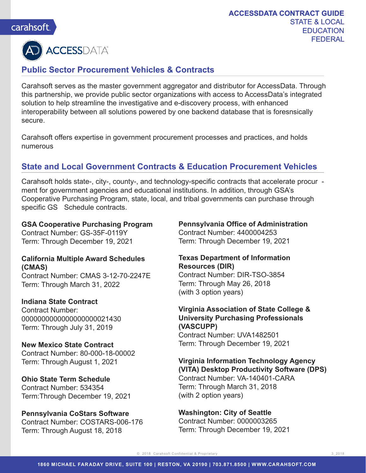

# **Public Sector Procurement Vehicles & Contracts**

Carahsoft serves as the master government aggregator and distributor for AccessData. Through this partnership, we provide public sector organizations with access to AccessData's integrated solution to help streamline the investigative and e-discovery process, with enhanced interoperability between all solutions powered by one backend database that is foresnsically secure.

Carahsoft offers expertise in government procurement processes and practices, and holds numerous

# **State and Local Government Contracts & Education Procurement Vehicles**

Carahsoft holds state-, city-, county-, and technology-specific contracts that accelerate procur ment for government agencies and educational institutions. In addition, through GSA's Cooperative Purchasing Program, state, local, and tribal governments can purchase through specific GS Schedule contracts.

**GSA Cooperative Purchasing Program**

Contract Number: GS-35F-0119Y Term: Through December 19, 2021

### **California Multiple Award Schedules (CMAS)**

Contract Number: CMAS 3-12-70-2247E Term: Through March 31, 2022

#### **Indiana State Contract**

Contract Number: 0000000000000000000021430 Term: Through July 31, 2019

#### **New Mexico State Contract**

Contract Number: 80-000-18-00002 Term: Through August 1, 2021

# **Ohio State Term Schedule**

Contract Number: 534354 Term:Through December 19, 2021

# **Pennsylvania CoStars Software** Contract Number: COSTARS-006-176

Term: Through August 18, 2018

**Pennsylvania Office of Administration** Contract Number: 4400004253 Term: Through December 19, 2021

## **Texas Department of Information Resources (DIR)**

Contract Number: DIR-TSO-3854 Term: Through May 26, 2018 (with 3 option years)

### **Virginia Association of State College & University Purchasing Professionals (VASCUPP)**

Contract Number: UVA1482501 Term: Through December 19, 2021

**Virginia Information Technology Agency (VITA) Desktop Productivity Software (DPS)** Contract Number: VA-140401-CARA Term: Through March 31, 2018 (with 2 option years)

# **Washington: City of Seattle**

Contract Number: 0000003265 Term: Through December 19, 2021